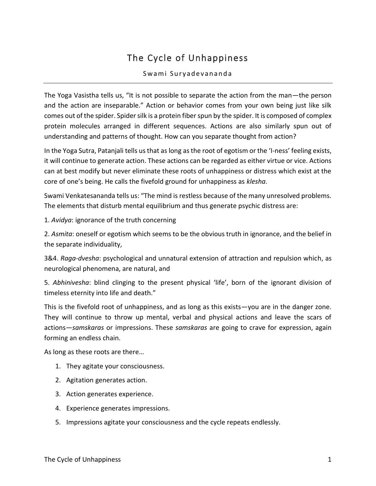## The Cycle of Unhappiness

## Swami Suryadevananda

The Yoga Vasistha tells us, "It is not possible to separate the action from the man—the person and the action are inseparable." Action or behavior comes from your own being just like silk comes out of the spider. Spider silk is a protein fiber spun by the spider. It is composed of complex protein molecules arranged in different sequences. Actions are also similarly spun out of understanding and patterns of thought. How can you separate thought from action?

In the Yoga Sutra, Patanjali tells us that as long as the root of egotism or the 'I-ness' feeling exists, it will continue to generate action. These actions can be regarded as either virtue or vice. Actions can at best modify but never eliminate these roots of unhappiness or distress which exist at the core of one's being. He calls the fivefold ground for unhappiness as *klesha*.

Swami Venkatesananda tells us: "The mind is restless because of the many unresolved problems. The elements that disturb mental equilibrium and thus generate psychic distress are:

1. *Avidya*: ignorance of the truth concerning

2. *Asmita*: oneself or egotism which seems to be the obvious truth in ignorance, and the belief in the separate individuality,

3&4. *Raga-dvesha*: psychological and unnatural extension of attraction and repulsion which, as neurological phenomena, are natural, and

5. *Abhinivesha*: blind clinging to the present physical 'life', born of the ignorant division of timeless eternity into life and death."

This is the fivefold root of unhappiness, and as long as this exists—you are in the danger zone. They will continue to throw up mental, verbal and physical actions and leave the scars of actions—*samskaras* or impressions. These *samskaras* are going to crave for expression, again forming an endless chain.

As long as these roots are there…

- 1. They agitate your consciousness.
- 2. Agitation generates action.
- 3. Action generates experience.
- 4. Experience generates impressions.
- 5. Impressions agitate your consciousness and the cycle repeats endlessly.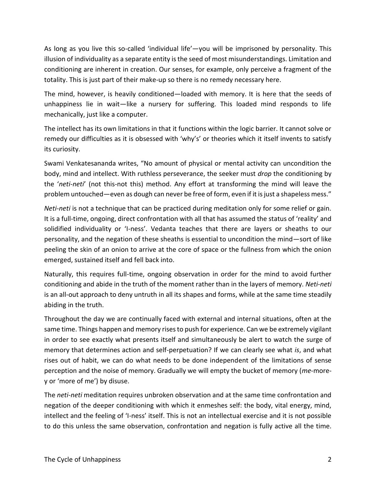As long as you live this so-called 'individual life'—you will be imprisoned by personality. This illusion of individuality as a separate entity is the seed of most misunderstandings. Limitation and conditioning are inherent in creation. Our senses, for example, only perceive a fragment of the totality. This is just part of their make-up so there is no remedy necessary here.

The mind, however, is heavily conditioned—loaded with memory. It is here that the seeds of unhappiness lie in wait—like a nursery for suffering. This loaded mind responds to life mechanically, just like a computer.

The intellect has its own limitations in that it functions within the logic barrier. It cannot solve or remedy our difficulties as it is obsessed with 'why's' or theories which it itself invents to satisfy its curiosity.

Swami Venkatesananda writes, "No amount of physical or mental activity can uncondition the body, mind and intellect. With ruthless perseverance, the seeker must *drop* the conditioning by the '*neti-neti*' (not this-not this) method. Any effort at transforming the mind will leave the problem untouched—even as dough can never be free of form, even if it is just a shapeless mess."

*Neti-neti* is not a technique that can be practiced during meditation only for some relief or gain. It is a full-time, ongoing, direct confrontation with all that has assumed the status of 'reality' and solidified individuality or 'I-ness'. Vedanta teaches that there are layers or sheaths to our personality, and the negation of these sheaths is essential to uncondition the mind—sort of like peeling the skin of an onion to arrive at the core of space or the fullness from which the onion emerged, sustained itself and fell back into.

Naturally, this requires full-time, ongoing observation in order for the mind to avoid further conditioning and abide in the truth of the moment rather than in the layers of memory. *Neti-neti* is an all-out approach to deny untruth in all its shapes and forms, while at the same time steadily abiding in the truth.

Throughout the day we are continually faced with external and internal situations, often at the same time. Things happen and memory rises to push for experience. Can we be extremely vigilant in order to see exactly what presents itself and simultaneously be alert to watch the surge of memory that determines action and self-perpetuation? If we can clearly see what *is*, and what rises out of habit, we can do what needs to be done independent of the limitations of sense perception and the noise of memory. Gradually we will empty the bucket of memory (*me*-morey or 'more of me') by disuse.

The *neti-neti* meditation requires unbroken observation and at the same time confrontation and negation of the deeper conditioning with which it enmeshes self: the body, vital energy, mind, intellect and the feeling of 'I-ness' itself. This is not an intellectual exercise and it is not possible to do this unless the same observation, confrontation and negation is fully active all the time.